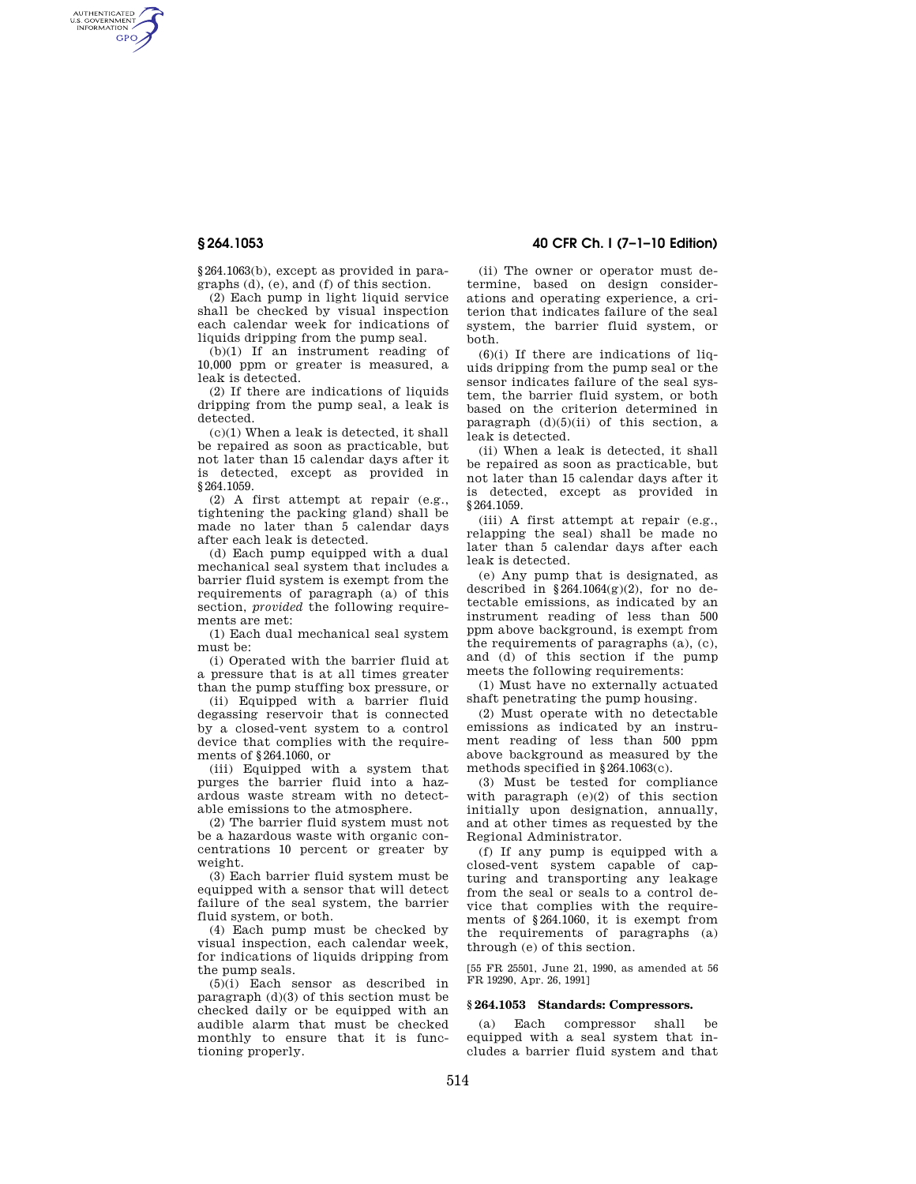AUTHENTICATED<br>U.S. GOVERNMENT<br>INFORMATION **GPO** 

> §264.1063(b), except as provided in paragraphs (d), (e), and (f) of this section.

> (2) Each pump in light liquid service shall be checked by visual inspection each calendar week for indications of liquids dripping from the pump seal.

(b)(1) If an instrument reading of 10,000 ppm or greater is measured, a leak is detected.

(2) If there are indications of liquids dripping from the pump seal, a leak is detected.

(c)(1) When a leak is detected, it shall be repaired as soon as practicable, but not later than 15 calendar days after it is detected, except as provided in §264.1059.

(2) A first attempt at repair (e.g., tightening the packing gland) shall be made no later than 5 calendar days after each leak is detected.

(d) Each pump equipped with a dual mechanical seal system that includes a barrier fluid system is exempt from the requirements of paragraph (a) of this section, *provided* the following requirements are met:

(1) Each dual mechanical seal system must be:

(i) Operated with the barrier fluid at a pressure that is at all times greater than the pump stuffing box pressure, or

(ii) Equipped with a barrier fluid degassing reservoir that is connected by a closed-vent system to a control device that complies with the requirements of §264.1060, or

(iii) Equipped with a system that purges the barrier fluid into a hazardous waste stream with no detectable emissions to the atmosphere.

(2) The barrier fluid system must not be a hazardous waste with organic concentrations 10 percent or greater by weight.

(3) Each barrier fluid system must be equipped with a sensor that will detect failure of the seal system, the barrier fluid system, or both.

(4) Each pump must be checked by visual inspection, each calendar week, for indications of liquids dripping from the pump seals.

(5)(i) Each sensor as described in paragraph (d)(3) of this section must be checked daily or be equipped with an audible alarm that must be checked monthly to ensure that it is functioning properly.

# **§ 264.1053 40 CFR Ch. I (7–1–10 Edition)**

(ii) The owner or operator must determine, based on design considerations and operating experience, a criterion that indicates failure of the seal system, the barrier fluid system, or both.

 $(6)(i)$  If there are indications of liquids dripping from the pump seal or the sensor indicates failure of the seal system, the barrier fluid system, or both based on the criterion determined in paragraph  $(d)(5)(ii)$  of this section, a leak is detected.

(ii) When a leak is detected, it shall be repaired as soon as practicable, but not later than 15 calendar days after it is detected, except as provided in §264.1059.

(iii) A first attempt at repair (e.g., relapping the seal) shall be made no later than 5 calendar days after each leak is detected.

(e) Any pump that is designated, as described in  $$264.1064(g)(2)$ , for no detectable emissions, as indicated by an instrument reading of less than 500 ppm above background, is exempt from the requirements of paragraphs (a), (c), and (d) of this section if the pump meets the following requirements:

(1) Must have no externally actuated shaft penetrating the pump housing.

(2) Must operate with no detectable emissions as indicated by an instrument reading of less than 500 ppm above background as measured by the methods specified in §264.1063(c).

(3) Must be tested for compliance with paragraph  $(e)(2)$  of this section initially upon designation, annually, and at other times as requested by the Regional Administrator.

(f) If any pump is equipped with a closed-vent system capable of capturing and transporting any leakage from the seal or seals to a control device that complies with the requirements of §264.1060, it is exempt from the requirements of paragraphs (a) through (e) of this section.

[55 FR 25501, June 21, 1990, as amended at 56 FR 19290, Apr. 26, 1991]

#### **§ 264.1053 Standards: Compressors.**

(a) Each compressor shall be equipped with a seal system that includes a barrier fluid system and that